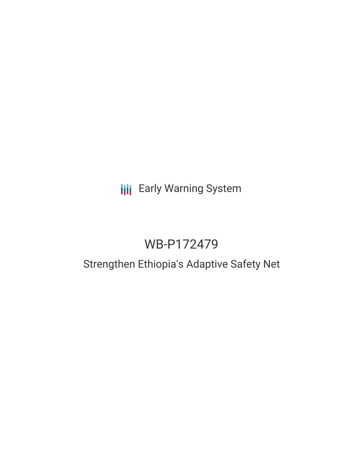# **III** Early Warning System

# WB-P172479

# Strengthen Ethiopia's Adaptive Safety Net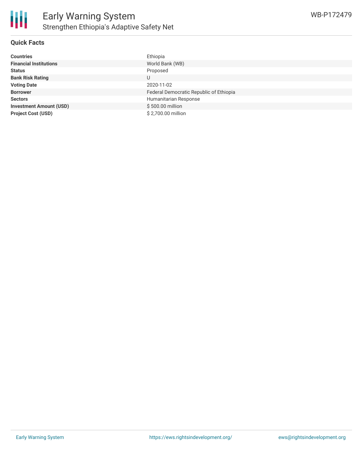

### **Quick Facts**

| <b>Countries</b>               | Ethiopia                                |
|--------------------------------|-----------------------------------------|
| <b>Financial Institutions</b>  | World Bank (WB)                         |
| <b>Status</b>                  | Proposed                                |
| <b>Bank Risk Rating</b>        | U                                       |
| <b>Voting Date</b>             | 2020-11-02                              |
| <b>Borrower</b>                | Federal Democratic Republic of Ethiopia |
| <b>Sectors</b>                 | Humanitarian Response                   |
| <b>Investment Amount (USD)</b> | \$500.00 million                        |
| <b>Project Cost (USD)</b>      | \$2,700.00 million                      |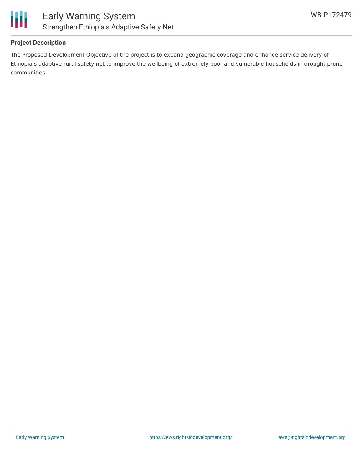

## **Project Description**

The Proposed Development Objective of the project is to expand geographic coverage and enhance service delivery of Ethiopia's adaptive rural safety net to improve the wellbeing of extremely poor and vulnerable households in drought prone communities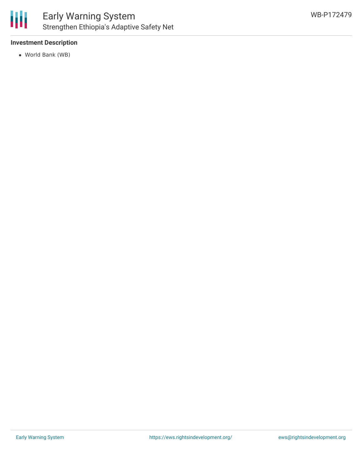

## **Investment Description**

World Bank (WB)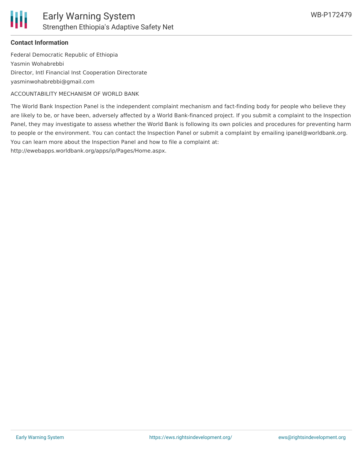

#### **Contact Information**

Federal Democratic Republic of Ethiopia Yasmin Wohabrebbi Director, Intl Financial Inst Cooperation Directorate yasminwohabrebbi@gmail.com

ACCOUNTABILITY MECHANISM OF WORLD BANK

The World Bank Inspection Panel is the independent complaint mechanism and fact-finding body for people who believe they are likely to be, or have been, adversely affected by a World Bank-financed project. If you submit a complaint to the Inspection Panel, they may investigate to assess whether the World Bank is following its own policies and procedures for preventing harm to people or the environment. You can contact the Inspection Panel or submit a complaint by emailing ipanel@worldbank.org. You can learn more about the Inspection Panel and how to file a complaint at:

http://ewebapps.worldbank.org/apps/ip/Pages/Home.aspx.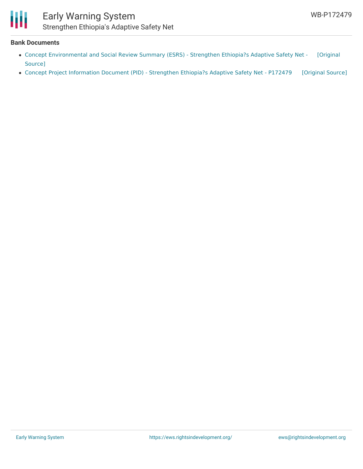

# Early Warning System Strengthen Ethiopia's Adaptive Safety Net

#### **Bank Documents**

- Concept [Environmental](https://ewsdata.rightsindevelopment.org/files/documents/79/WB-P172479.pdf) and Social Review Summary (ESRS) Strengthen Ethiopia?s Adaptive Safety Net [Original Source]
- Concept Project [Information](https://ewsdata.rightsindevelopment.org/files/documents/79/WB-P172479_4mfCVS7.pdf) Document (PID) Strengthen Ethiopia?s Adaptive Safety Net P172479 [\[Original](http://documents.worldbank.org/curated/en/790401580263607162/pdf/Concept-Project-Information-Document-PID-Strengthen-Ethiopia-s-Adaptive-Safety-Net-P172479.pdf) Source]